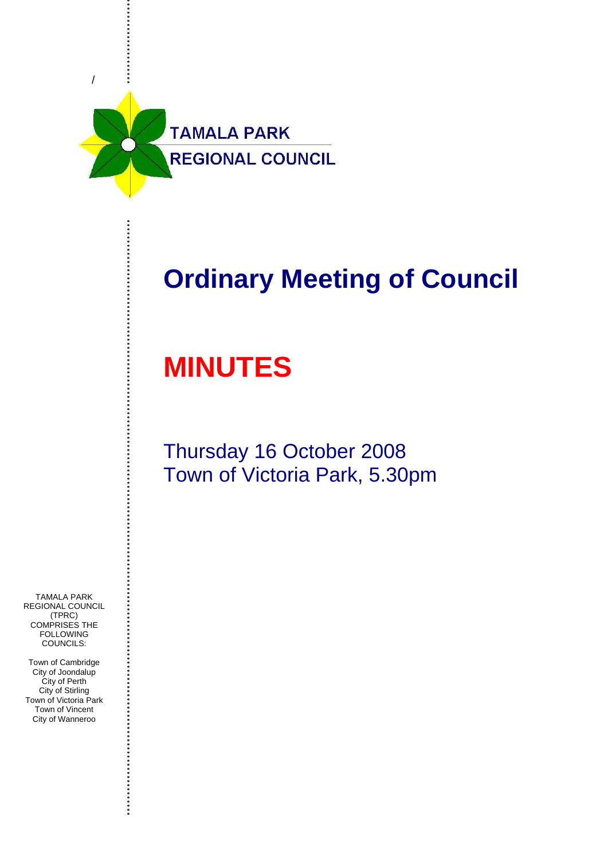

# **Ordinary Meeting of Council**

# **MINUTES**

# Thursday 16 October 2008 Town of Victoria Park, 5.30pm

TAMALA PARK REGIONAL COUNCIL (TPRC) COMPRISES THE **FOLLOWING** COUNCILS:

Town of Cambridge City of Joondalup City of Perth City of Stirling Town of Victoria Park Town of Vincent City of Wanneroo

. . . . . . . . . . . . . .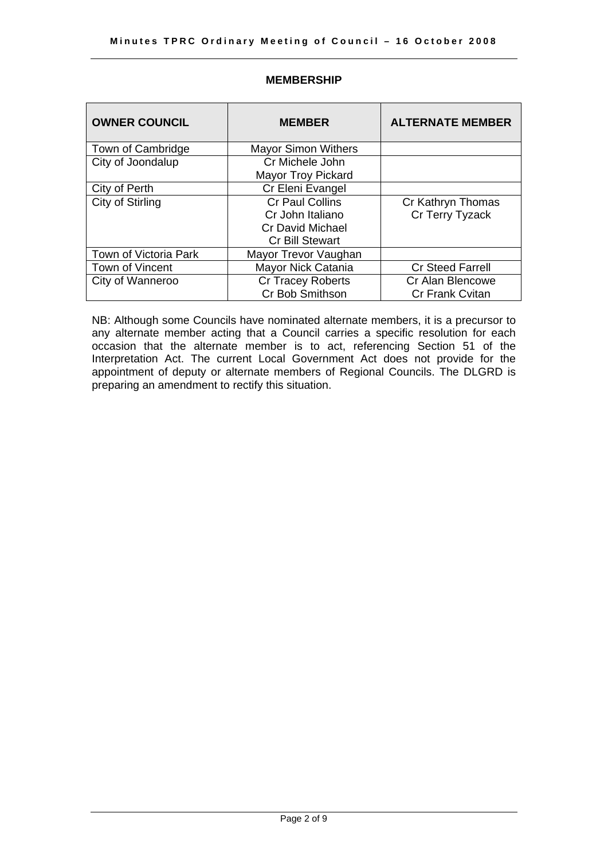| <b>OWNER COUNCIL</b>  | <b>MEMBER</b>                                                                                   | <b>ALTERNATE MEMBER</b>                    |
|-----------------------|-------------------------------------------------------------------------------------------------|--------------------------------------------|
| Town of Cambridge     | <b>Mayor Simon Withers</b>                                                                      |                                            |
| City of Joondalup     | Cr Michele John<br><b>Mayor Troy Pickard</b>                                                    |                                            |
| City of Perth         | Cr Eleni Evangel                                                                                |                                            |
| City of Stirling      | <b>Cr Paul Collins</b><br>Cr John Italiano<br><b>Cr David Michael</b><br><b>Cr Bill Stewart</b> | Cr Kathryn Thomas<br>Cr Terry Tyzack       |
| Town of Victoria Park | Mayor Trevor Vaughan                                                                            |                                            |
| Town of Vincent       | Mayor Nick Catania                                                                              | <b>Cr Steed Farrell</b>                    |
| City of Wanneroo      | <b>Cr Tracey Roberts</b><br>Cr Bob Smithson                                                     | Cr Alan Blencowe<br><b>Cr Frank Cvitan</b> |

# **MEMBERSHIP**

NB: Although some Councils have nominated alternate members, it is a precursor to any alternate member acting that a Council carries a specific resolution for each occasion that the alternate member is to act, referencing Section 51 of the Interpretation Act. The current Local Government Act does not provide for the appointment of deputy or alternate members of Regional Councils. The DLGRD is preparing an amendment to rectify this situation.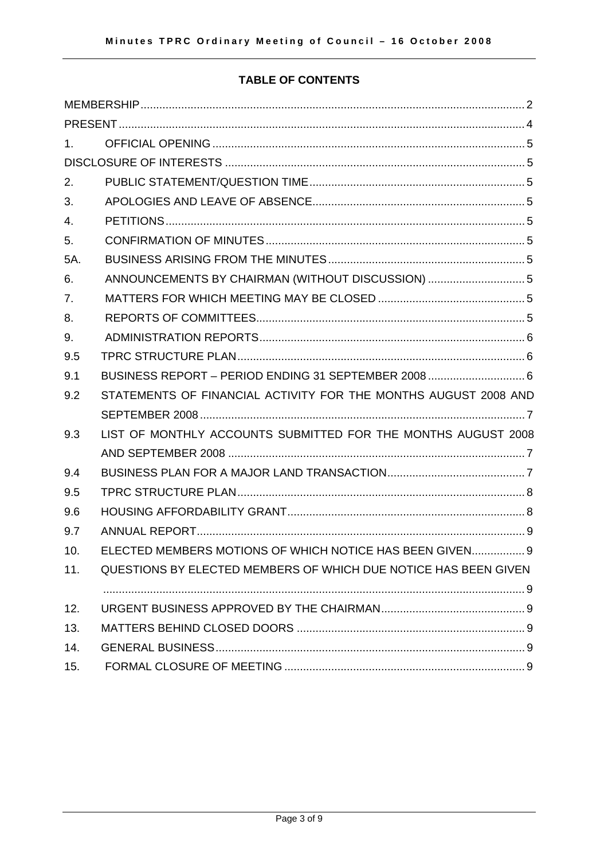# **TABLE OF CONTENTS**

| $1_{-}$ |                                                                 |
|---------|-----------------------------------------------------------------|
|         |                                                                 |
| 2.      |                                                                 |
| 3.      |                                                                 |
| 4.      |                                                                 |
| 5.      |                                                                 |
| 5A.     |                                                                 |
| 6.      | ANNOUNCEMENTS BY CHAIRMAN (WITHOUT DISCUSSION) 5                |
| 7.      |                                                                 |
| 8.      |                                                                 |
| 9.      |                                                                 |
| 9.5     |                                                                 |
| 9.1     | BUSINESS REPORT - PERIOD ENDING 31 SEPTEMBER 2008 6             |
| 9.2     | STATEMENTS OF FINANCIAL ACTIVITY FOR THE MONTHS AUGUST 2008 AND |
|         |                                                                 |
| 9.3     | LIST OF MONTHLY ACCOUNTS SUBMITTED FOR THE MONTHS AUGUST 2008   |
|         |                                                                 |
| 9.4     |                                                                 |
| 9.5     |                                                                 |
| 9.6     |                                                                 |
| 9.7     |                                                                 |
| 10.     | ELECTED MEMBERS MOTIONS OF WHICH NOTICE HAS BEEN GIVEN 9        |
| 11.     | QUESTIONS BY ELECTED MEMBERS OF WHICH DUE NOTICE HAS BEEN GIVEN |
|         |                                                                 |
| 12.     |                                                                 |
| 13.     |                                                                 |
| 14.     |                                                                 |
| 15.     |                                                                 |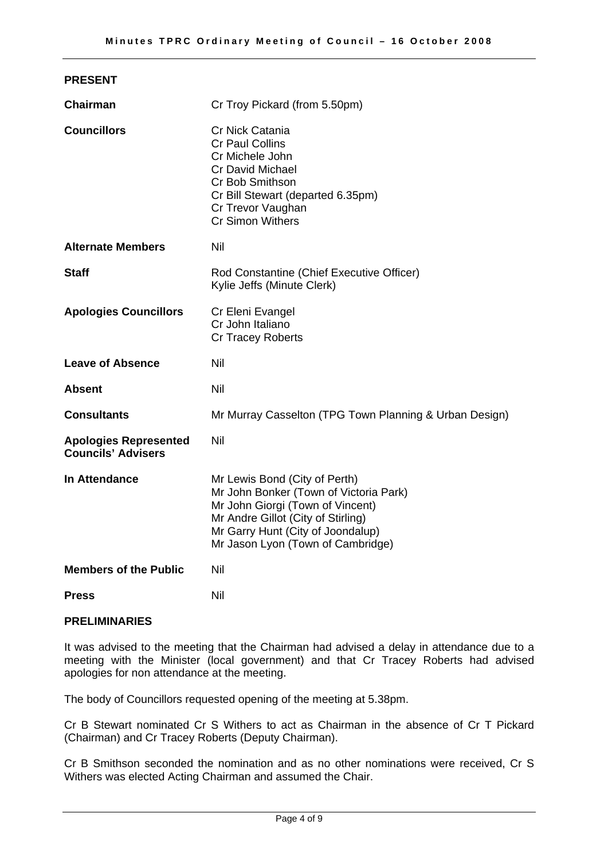| <b>PRESENT</b>                                            |                                                                                                                                                                                                                             |  |
|-----------------------------------------------------------|-----------------------------------------------------------------------------------------------------------------------------------------------------------------------------------------------------------------------------|--|
| Chairman                                                  | Cr Troy Pickard (from 5.50pm)                                                                                                                                                                                               |  |
| <b>Councillors</b>                                        | Cr Nick Catania<br><b>Cr Paul Collins</b><br>Cr Michele John<br><b>Cr David Michael</b><br>Cr Bob Smithson<br>Cr Bill Stewart (departed 6.35pm)<br>Cr Trevor Vaughan<br><b>Cr Simon Withers</b>                             |  |
| <b>Alternate Members</b>                                  | Nil                                                                                                                                                                                                                         |  |
| <b>Staff</b>                                              | Rod Constantine (Chief Executive Officer)<br>Kylie Jeffs (Minute Clerk)                                                                                                                                                     |  |
| <b>Apologies Councillors</b>                              | Cr Eleni Evangel<br>Cr John Italiano<br><b>Cr Tracey Roberts</b>                                                                                                                                                            |  |
| <b>Leave of Absence</b>                                   | Nil                                                                                                                                                                                                                         |  |
| <b>Absent</b>                                             | Nil                                                                                                                                                                                                                         |  |
| <b>Consultants</b>                                        | Mr Murray Casselton (TPG Town Planning & Urban Design)                                                                                                                                                                      |  |
| <b>Apologies Represented</b><br><b>Councils' Advisers</b> | Nil                                                                                                                                                                                                                         |  |
| In Attendance                                             | Mr Lewis Bond (City of Perth)<br>Mr John Bonker (Town of Victoria Park)<br>Mr John Giorgi (Town of Vincent)<br>Mr Andre Gillot (City of Stirling)<br>Mr Garry Hunt (City of Joondalup)<br>Mr Jason Lyon (Town of Cambridge) |  |
| <b>Members of the Public</b>                              | Nil                                                                                                                                                                                                                         |  |
| <b>Press</b>                                              | Nil                                                                                                                                                                                                                         |  |

# **PRELIMINARIES**

It was advised to the meeting that the Chairman had advised a delay in attendance due to a meeting with the Minister (local government) and that Cr Tracey Roberts had advised apologies for non attendance at the meeting.

The body of Councillors requested opening of the meeting at 5.38pm.

Cr B Stewart nominated Cr S Withers to act as Chairman in the absence of Cr T Pickard (Chairman) and Cr Tracey Roberts (Deputy Chairman).

Cr B Smithson seconded the nomination and as no other nominations were received, Cr S Withers was elected Acting Chairman and assumed the Chair.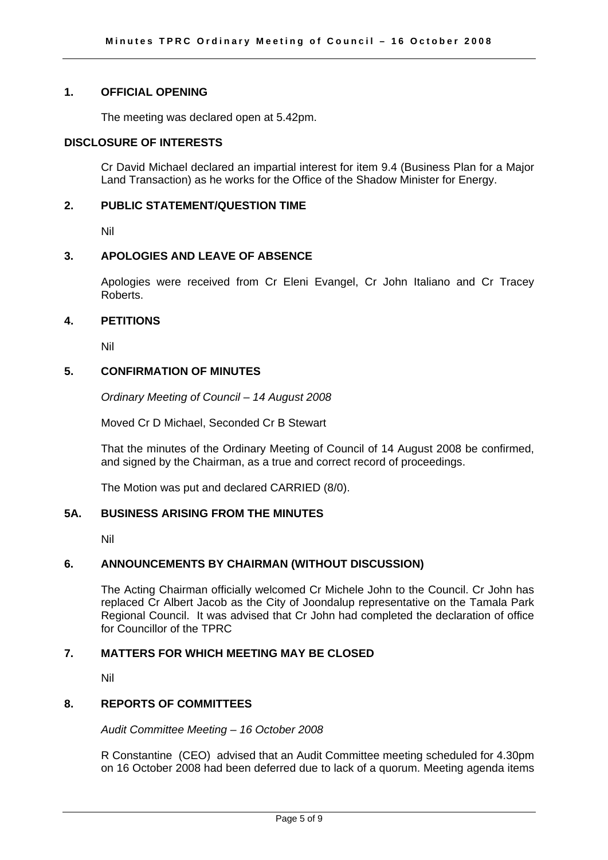#### **1. OFFICIAL OPENING**

The meeting was declared open at 5.42pm.

# **DISCLOSURE OF INTERESTS**

Cr David Michael declared an impartial interest for item 9.4 (Business Plan for a Major Land Transaction) as he works for the Office of the Shadow Minister for Energy.

# **2. PUBLIC STATEMENT/QUESTION TIME**

Nil

# **3. APOLOGIES AND LEAVE OF ABSENCE**

Apologies were received from Cr Eleni Evangel, Cr John Italiano and Cr Tracey Roberts.

# **4. PETITIONS**

Nil

# **5. CONFIRMATION OF MINUTES**

*Ordinary Meeting of Council – 14 August 2008* 

Moved Cr D Michael, Seconded Cr B Stewart

That the minutes of the Ordinary Meeting of Council of 14 August 2008 be confirmed, and signed by the Chairman, as a true and correct record of proceedings.

The Motion was put and declared CARRIED (8/0).

# **5A. BUSINESS ARISING FROM THE MINUTES**

Nil

# **6. ANNOUNCEMENTS BY CHAIRMAN (WITHOUT DISCUSSION)**

The Acting Chairman officially welcomed Cr Michele John to the Council. Cr John has replaced Cr Albert Jacob as the City of Joondalup representative on the Tamala Park Regional Council. It was advised that Cr John had completed the declaration of office for Councillor of the TPRC

# **7. MATTERS FOR WHICH MEETING MAY BE CLOSED**

Nil

# **8. REPORTS OF COMMITTEES**

*Audit Committee Meeting – 16 October 2008* 

R Constantine (CEO) advised that an Audit Committee meeting scheduled for 4.30pm on 16 October 2008 had been deferred due to lack of a quorum. Meeting agenda items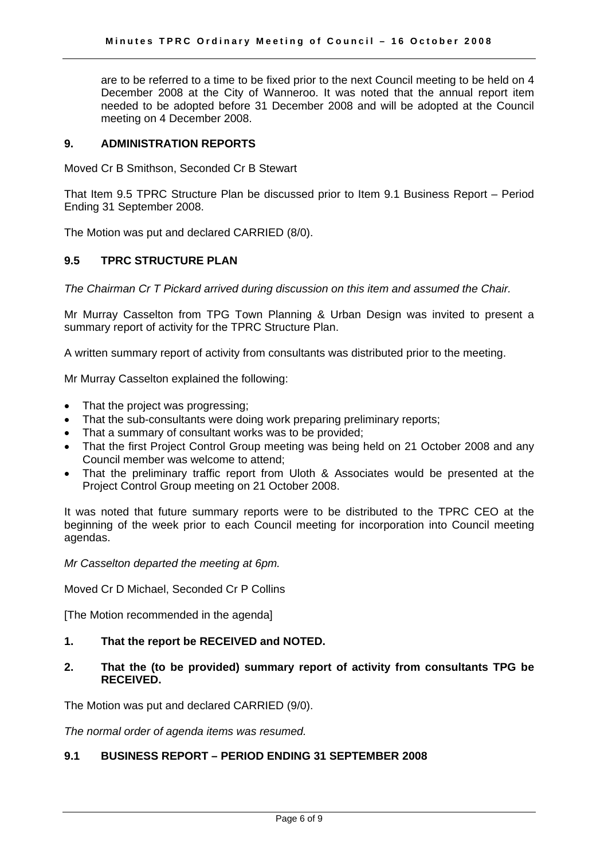are to be referred to a time to be fixed prior to the next Council meeting to be held on 4 December 2008 at the City of Wanneroo. It was noted that the annual report item needed to be adopted before 31 December 2008 and will be adopted at the Council meeting on 4 December 2008.

#### **9. ADMINISTRATION REPORTS**

Moved Cr B Smithson, Seconded Cr B Stewart

That Item 9.5 TPRC Structure Plan be discussed prior to Item 9.1 Business Report – Period Ending 31 September 2008.

The Motion was put and declared CARRIED (8/0).

# **9.5 TPRC STRUCTURE PLAN**

*The Chairman Cr T Pickard arrived during discussion on this item and assumed the Chair.* 

Mr Murray Casselton from TPG Town Planning & Urban Design was invited to present a summary report of activity for the TPRC Structure Plan.

A written summary report of activity from consultants was distributed prior to the meeting.

Mr Murray Casselton explained the following:

- That the project was progressing;
- That the sub-consultants were doing work preparing preliminary reports;
- That a summary of consultant works was to be provided;
- That the first Project Control Group meeting was being held on 21 October 2008 and any Council member was welcome to attend;
- That the preliminary traffic report from Uloth & Associates would be presented at the Project Control Group meeting on 21 October 2008.

It was noted that future summary reports were to be distributed to the TPRC CEO at the beginning of the week prior to each Council meeting for incorporation into Council meeting agendas.

*Mr Casselton departed the meeting at 6pm.* 

Moved Cr D Michael, Seconded Cr P Collins

[The Motion recommended in the agenda]

# **1. That the report be RECEIVED and NOTED.**

**2. That the (to be provided) summary report of activity from consultants TPG be RECEIVED.** 

The Motion was put and declared CARRIED (9/0).

*The normal order of agenda items was resumed.* 

# **9.1 BUSINESS REPORT – PERIOD ENDING 31 SEPTEMBER 2008**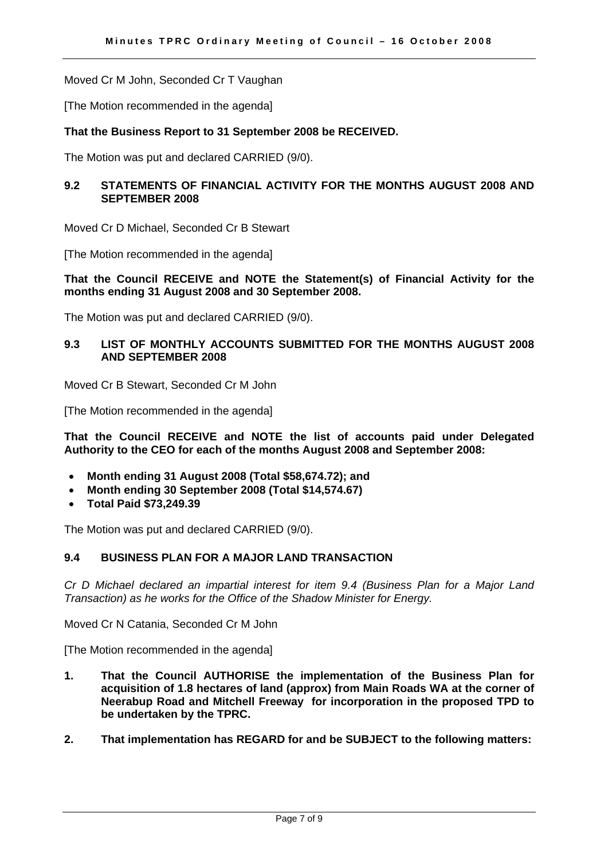Moved Cr M John, Seconded Cr T Vaughan

[The Motion recommended in the agenda]

#### **That the Business Report to 31 September 2008 be RECEIVED.**

The Motion was put and declared CARRIED (9/0).

# **9.2 STATEMENTS OF FINANCIAL ACTIVITY FOR THE MONTHS AUGUST 2008 AND SEPTEMBER 2008**

Moved Cr D Michael, Seconded Cr B Stewart

[The Motion recommended in the agenda]

#### **That the Council RECEIVE and NOTE the Statement(s) of Financial Activity for the months ending 31 August 2008 and 30 September 2008.**

The Motion was put and declared CARRIED (9/0).

# **9.3 LIST OF MONTHLY ACCOUNTS SUBMITTED FOR THE MONTHS AUGUST 2008 AND SEPTEMBER 2008**

Moved Cr B Stewart, Seconded Cr M John

[The Motion recommended in the agenda]

**That the Council RECEIVE and NOTE the list of accounts paid under Delegated Authority to the CEO for each of the months August 2008 and September 2008:** 

- **Month ending 31 August 2008 (Total \$58,674.72); and**
- **Month ending 30 September 2008 (Total \$14,574.67)**
- **Total Paid \$73,249.39**

The Motion was put and declared CARRIED (9/0).

# **9.4 BUSINESS PLAN FOR A MAJOR LAND TRANSACTION**

*Cr D Michael declared an impartial interest for item 9.4 (Business Plan for a Major Land Transaction) as he works for the Office of the Shadow Minister for Energy.* 

Moved Cr N Catania, Seconded Cr M John

[The Motion recommended in the agenda]

- **1. That the Council AUTHORISE the implementation of the Business Plan for acquisition of 1.8 hectares of land (approx) from Main Roads WA at the corner of Neerabup Road and Mitchell Freeway for incorporation in the proposed TPD to be undertaken by the TPRC.**
- **2. That implementation has REGARD for and be SUBJECT to the following matters:**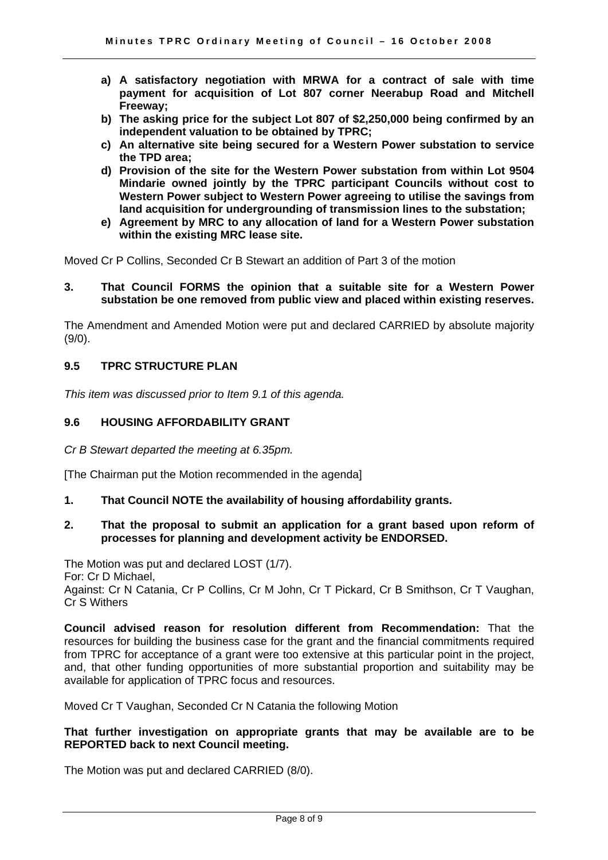- **a) A satisfactory negotiation with MRWA for a contract of sale with time payment for acquisition of Lot 807 corner Neerabup Road and Mitchell Freeway;**
- **b) The asking price for the subject Lot 807 of \$2,250,000 being confirmed by an independent valuation to be obtained by TPRC;**
- **c) An alternative site being secured for a Western Power substation to service the TPD area;**
- **d) Provision of the site for the Western Power substation from within Lot 9504 Mindarie owned jointly by the TPRC participant Councils without cost to Western Power subject to Western Power agreeing to utilise the savings from land acquisition for undergrounding of transmission lines to the substation;**
- **e) Agreement by MRC to any allocation of land for a Western Power substation within the existing MRC lease site.**

Moved Cr P Collins, Seconded Cr B Stewart an addition of Part 3 of the motion

#### **3. That Council FORMS the opinion that a suitable site for a Western Power substation be one removed from public view and placed within existing reserves.**

The Amendment and Amended Motion were put and declared CARRIED by absolute majority (9/0).

# **9.5 TPRC STRUCTURE PLAN**

*This item was discussed prior to Item 9.1 of this agenda.* 

# **9.6 HOUSING AFFORDABILITY GRANT**

*Cr B Stewart departed the meeting at 6.35pm.* 

[The Chairman put the Motion recommended in the agenda]

**1. That Council NOTE the availability of housing affordability grants.** 

#### **2. That the proposal to submit an application for a grant based upon reform of processes for planning and development activity be ENDORSED.**

The Motion was put and declared LOST (1/7).

For: Cr D Michael,

Against: Cr N Catania, Cr P Collins, Cr M John, Cr T Pickard, Cr B Smithson, Cr T Vaughan, Cr S Withers

**Council advised reason for resolution different from Recommendation:** That the resources for building the business case for the grant and the financial commitments required from TPRC for acceptance of a grant were too extensive at this particular point in the project, and, that other funding opportunities of more substantial proportion and suitability may be available for application of TPRC focus and resources.

Moved Cr T Vaughan, Seconded Cr N Catania the following Motion

# **That further investigation on appropriate grants that may be available are to be REPORTED back to next Council meeting.**

The Motion was put and declared CARRIED (8/0).